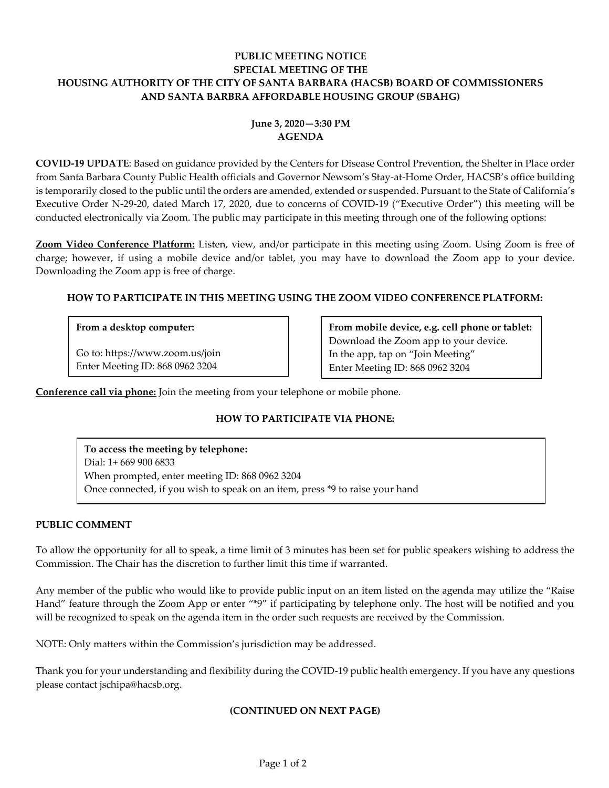## **PUBLIC MEETING NOTICE SPECIAL MEETING OF THE HOUSING AUTHORITY OF THE CITY OF SANTA BARBARA (HACSB) BOARD OF COMMISSIONERS AND SANTA BARBRA AFFORDABLE HOUSING GROUP (SBAHG)**

# **June 3, 2020—3:30 PM AGENDA**

**COVID-19 UPDATE**: Based on guidance provided by the Centers for Disease Control Prevention, the Shelter in Place order from Santa Barbara County Public Health officials and Governor Newsom's Stay-at-Home Order, HACSB's office building is temporarily closed to the public until the orders are amended, extended or suspended. Pursuant to the State of California's Executive Order N-29-20, dated March 17, 2020, due to concerns of COVID-19 ("Executive Order") this meeting will be conducted electronically via Zoom. The public may participate in this meeting through one of the following options:

**Zoom Video Conference Platform:** Listen, view, and/or participate in this meeting using Zoom. Using Zoom is free of charge; however, if using a mobile device and/or tablet, you may have to download the Zoom app to your device. Downloading the Zoom app is free of charge.

### **HOW TO PARTICIPATE IN THIS MEETING USING THE ZOOM VIDEO CONFERENCE PLATFORM:**

### **From a desktop computer:**

Go to: https://www.zoom.us/join Enter Meeting ID: 868 0962 3204

**From mobile device, e.g. cell phone or tablet:** Download the Zoom app to your device. In the app, tap on "Join Meeting" Enter Meeting ID: 868 0962 3204

**Conference call via phone:** Join the meeting from your telephone or mobile phone.

## **HOW TO PARTICIPATE VIA PHONE:**

**To access the meeting by telephone:** Dial: 1+ 669 900 6833 When prompted, enter meeting ID: 868 0962 3204 Once connected, if you wish to speak on an item, press \*9 to raise your hand

### **PUBLIC COMMENT**

To allow the opportunity for all to speak, a time limit of 3 minutes has been set for public speakers wishing to address the Commission. The Chair has the discretion to further limit this time if warranted.

Any member of the public who would like to provide public input on an item listed on the agenda may utilize the "Raise Hand" feature through the Zoom App or enter "\*9" if participating by telephone only. The host will be notified and you will be recognized to speak on the agenda item in the order such requests are received by the Commission.

NOTE: Only matters within the Commission's jurisdiction may be addressed.

Thank you for your understanding and flexibility during the COVID-19 public health emergency. If you have any questions please contact jschipa@hacsb.org.

#### **(CONTINUED ON NEXT PAGE)**